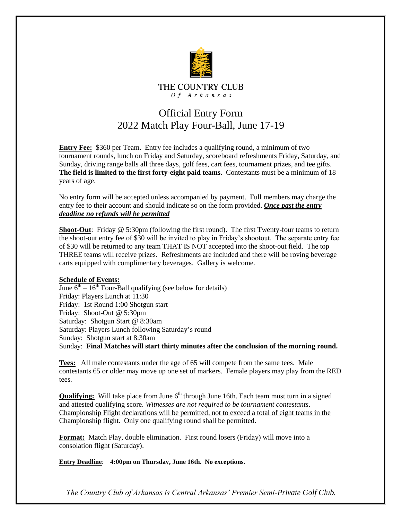

## Official Entry Form 2022 Match Play Four-Ball, June 17-19

**Entry Fee:** \$360 per Team. Entry fee includes a qualifying round, a minimum of two tournament rounds, lunch on Friday and Saturday, scoreboard refreshments Friday, Saturday, and Sunday, driving range balls all three days, golf fees, cart fees, tournament prizes, and tee gifts. **The field is limited to the first forty-eight paid teams.** Contestants must be a minimum of 18 years of age.

No entry form will be accepted unless accompanied by payment. Full members may charge the entry fee to their account and should indicate so on the form provided. *Once past the entry deadline no refunds will be permitted*

**Shoot-Out**: Friday @ 5:30pm (following the first round). The first Twenty-four teams to return the shoot-out entry fee of \$30 will be invited to play in Friday's shootout. The separate entry fee of \$30 will be returned to any team THAT IS NOT accepted into the shoot-out field. The top THREE teams will receive prizes. Refreshments are included and there will be roving beverage carts equipped with complimentary beverages. Gallery is welcome.

## **Schedule of Events:**

June  $6<sup>th</sup> - 16<sup>th</sup>$  Four-Ball qualifying (see below for details) Friday: Players Lunch at 11:30 Friday: 1st Round 1:00 Shotgun start Friday: Shoot-Out @ 5:30pm Saturday: Shotgun Start @ 8:30am Saturday: Players Lunch following Saturday's round Sunday: Shotgun start at 8:30am Sunday: **Final Matches will start thirty minutes after the conclusion of the morning round.**

**Tees:** All male contestants under the age of 65 will compete from the same tees. Male contestants 65 or older may move up one set of markers. Female players may play from the RED tees.

**Qualifying:** Will take place from June 6<sup>th</sup> through June 16th. Each team must turn in a signed and attested qualifying score. *Witnesses are not required to be tournament contestants*. Championship Flight declarations will be permitted, not to exceed a total of eight teams in the Championship flight. Only one qualifying round shall be permitted.

**Format:** Match Play, double elimination. First round losers (Friday) will move into a consolation flight (Saturday).

**Entry Deadline**: **4:00pm on Thursday, June 16th. No exceptions**.

*The Country Club of Arkansas is Central Arkansas' Premier Semi-Private Golf Club.*